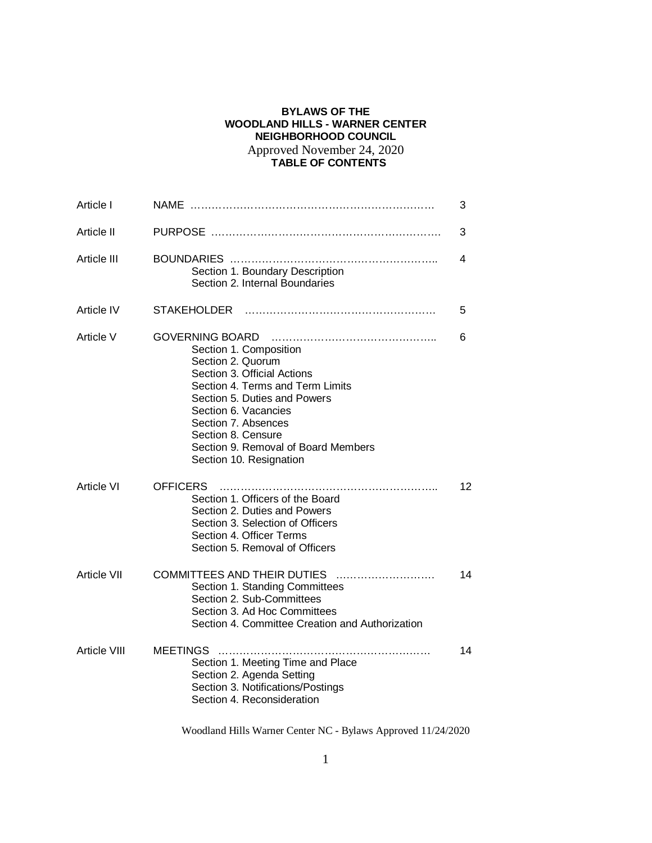# **BYLAWS OF THE WOODLAND HILLS - WARNER CENTER NEIGHBORHOOD COUNCIL** Approved November 24, 2020 **TABLE OF CONTENTS**

| Article I          |                                                                                                                                                                                                                                                                                                                 | 3  |
|--------------------|-----------------------------------------------------------------------------------------------------------------------------------------------------------------------------------------------------------------------------------------------------------------------------------------------------------------|----|
| Article II         |                                                                                                                                                                                                                                                                                                                 | 3  |
| Article III        | Section 1. Boundary Description<br>Section 2. Internal Boundaries                                                                                                                                                                                                                                               | 4  |
| Article IV         | <b>STAKEHOLDER</b>                                                                                                                                                                                                                                                                                              | 5  |
| Article V          | <b>GOVERNING BOARD</b><br>Section 1. Composition<br>Section 2. Quorum<br>Section 3. Official Actions<br>Section 4. Terms and Term Limits<br>Section 5. Duties and Powers<br>Section 6. Vacancies<br>Section 7. Absences<br>Section 8. Censure<br>Section 9. Removal of Board Members<br>Section 10. Resignation | 6  |
| Article VI         | OFFICERS<br>Section 1. Officers of the Board<br>Section 2. Duties and Powers<br>Section 3. Selection of Officers<br>Section 4. Officer Terms<br>Section 5. Removal of Officers                                                                                                                                  | 12 |
| <b>Article VII</b> | COMMITTEES AND THEIR DUTIES<br>Section 1. Standing Committees<br>Section 2. Sub-Committees<br>Section 3. Ad Hoc Committees<br>Section 4. Committee Creation and Authorization                                                                                                                                   | 14 |
| Article VIII       | <b>MEETINGS</b><br>Section 1. Meeting Time and Place<br>Section 2. Agenda Setting<br>Section 3. Notifications/Postings<br>Section 4. Reconsideration                                                                                                                                                            | 14 |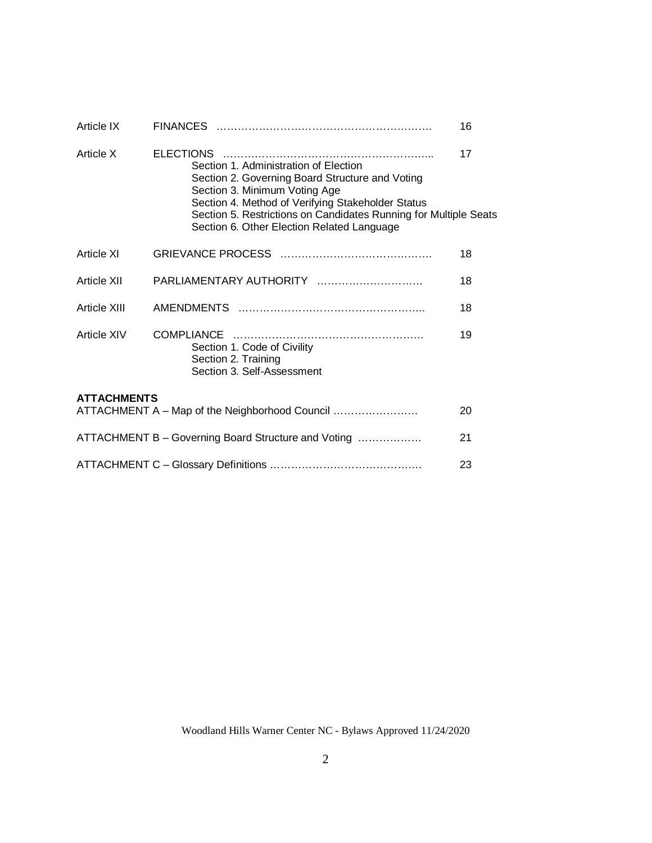| Article IX                                                |                                                                                                                                                                                                                                                                                                  | 16 |  |  |
|-----------------------------------------------------------|--------------------------------------------------------------------------------------------------------------------------------------------------------------------------------------------------------------------------------------------------------------------------------------------------|----|--|--|
| Article X                                                 | Section 1. Administration of Election<br>Section 2. Governing Board Structure and Voting<br>Section 3. Minimum Voting Age<br>Section 4. Method of Verifying Stakeholder Status<br>Section 5. Restrictions on Candidates Running for Multiple Seats<br>Section 6. Other Election Related Language | 17 |  |  |
| Article XI                                                |                                                                                                                                                                                                                                                                                                  | 18 |  |  |
| Article XII                                               | PARLIAMENTARY AUTHORITY                                                                                                                                                                                                                                                                          | 18 |  |  |
| Article XIII                                              |                                                                                                                                                                                                                                                                                                  | 18 |  |  |
| Article XIV                                               | Section 1. Code of Civility<br>Section 2. Training<br>Section 3. Self-Assessment                                                                                                                                                                                                                 | 19 |  |  |
| <b>ATTACHMENTS</b>                                        | ATTACHMENT A - Map of the Neighborhood Council                                                                                                                                                                                                                                                   | 20 |  |  |
| ATTACHMENT B - Governing Board Structure and Voting<br>21 |                                                                                                                                                                                                                                                                                                  |    |  |  |
|                                                           |                                                                                                                                                                                                                                                                                                  | 23 |  |  |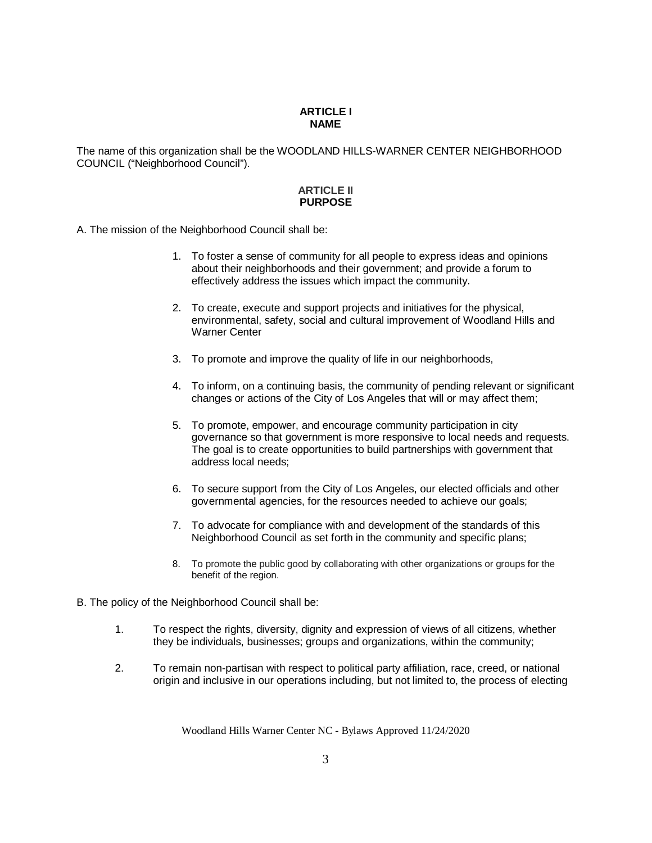### **ARTICLE I NAME**

The name of this organization shall be the WOODLAND HILLS-WARNER CENTER NEIGHBORHOOD COUNCIL ("Neighborhood Council").

## **ARTICLE II PURPOSE**

A. The mission of the Neighborhood Council shall be:

- 1. To foster a sense of community for all people to express ideas and opinions about their neighborhoods and their government; and provide a forum to effectively address the issues which impact the community.
- 2. To create, execute and support projects and initiatives for the physical, environmental, safety, social and cultural improvement of Woodland Hills and Warner Center
- 3. To promote and improve the quality of life in our neighborhoods,
- 4. To inform, on a continuing basis, the community of pending relevant or significant changes or actions of the City of Los Angeles that will or may affect them;
- 5. To promote, empower, and encourage community participation in city governance so that government is more responsive to local needs and requests. The goal is to create opportunities to build partnerships with government that address local needs;
- 6. To secure support from the City of Los Angeles, our elected officials and other governmental agencies, for the resources needed to achieve our goals;
- 7. To advocate for compliance with and development of the standards of this Neighborhood Council as set forth in the community and specific plans;
- 8. To promote the public good by collaborating with other organizations or groups for the benefit of the region.
- B. The policy of the Neighborhood Council shall be:
	- 1. To respect the rights, diversity, dignity and expression of views of all citizens, whether they be individuals, businesses; groups and organizations, within the community;
	- 2. To remain non-partisan with respect to political party affiliation, race, creed, or national origin and inclusive in our operations including, but not limited to, the process of electing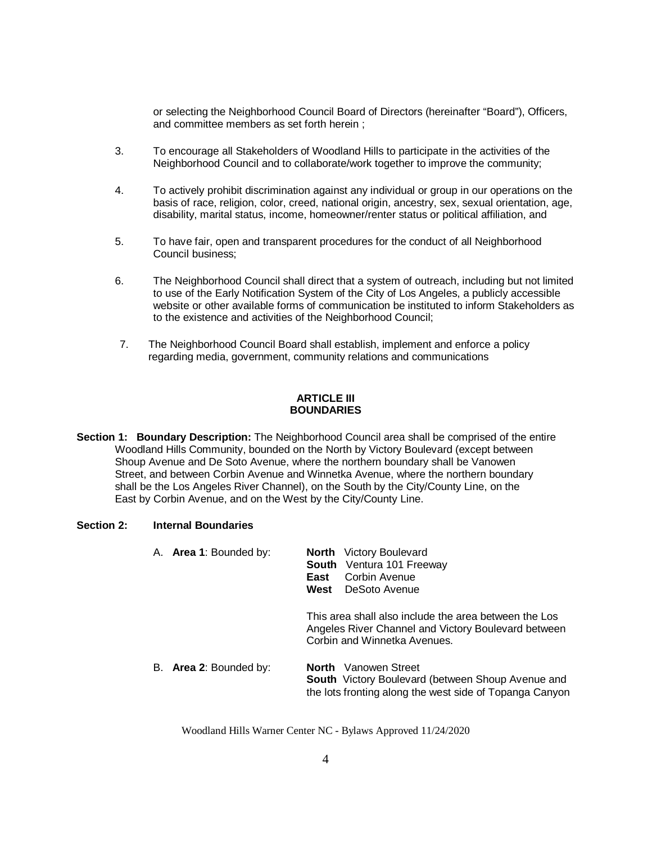or selecting the Neighborhood Council Board of Directors (hereinafter "Board"), Officers, and committee members as set forth herein ;

- 3. To encourage all Stakeholders of Woodland Hills to participate in the activities of the Neighborhood Council and to collaborate/work together to improve the community;
- 4. To actively prohibit discrimination against any individual or group in our operations on the basis of race, religion, color, creed, national origin, ancestry, sex, sexual orientation, age, disability, marital status, income, homeowner/renter status or political affiliation, and
- 5. To have fair, open and transparent procedures for the conduct of all Neighborhood Council business;
- 6. The Neighborhood Council shall direct that a system of outreach, including but not limited to use of the Early Notification System of the City of Los Angeles, a publicly accessible website or other available forms of communication be instituted to inform Stakeholders as to the existence and activities of the Neighborhood Council;
- 7. The Neighborhood Council Board shall establish, implement and enforce a policy regarding media, government, community relations and communications

# **ARTICLE III BOUNDARIES**

**Section 1: Boundary Description:** The Neighborhood Council area shall be comprised of the entire Woodland Hills Community, bounded on the North by Victory Boulevard (except between Shoup Avenue and De Soto Avenue, where the northern boundary shall be Vanowen Street, and between Corbin Avenue and Winnetka Avenue, where the northern boundary shall be the Los Angeles River Channel), on the South by the City/County Line, on the East by Corbin Avenue, and on the West by the City/County Line.

## **Section 2: Internal Boundaries**

| A. Area 1: Bounded by: | <b>North</b> Victory Boulevard<br><b>South</b> Ventura 101 Freeway<br>Corbin Avenue<br>East<br>DeSoto Avenue<br>West                               |
|------------------------|----------------------------------------------------------------------------------------------------------------------------------------------------|
|                        | This area shall also include the area between the Los<br>Angeles River Channel and Victory Boulevard between<br>Corbin and Winnetka Avenues.       |
| B. Area 2: Bounded by: | <b>North</b> Vanowen Street<br><b>South</b> Victory Boulevard (between Shoup Avenue and<br>the lots fronting along the west side of Topanga Canyon |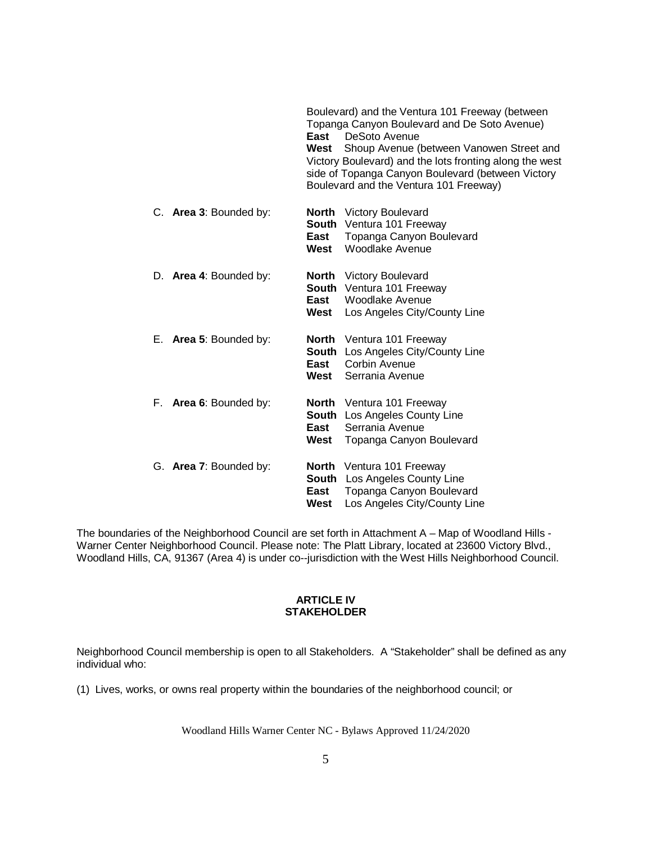|                        | East<br>West | Boulevard) and the Ventura 101 Freeway (between<br>Topanga Canyon Boulevard and De Soto Avenue)<br>DeSoto Avenue<br>Shoup Avenue (between Vanowen Street and<br>Victory Boulevard) and the lots fronting along the west<br>side of Topanga Canyon Boulevard (between Victory<br>Boulevard and the Ventura 101 Freeway) |
|------------------------|--------------|------------------------------------------------------------------------------------------------------------------------------------------------------------------------------------------------------------------------------------------------------------------------------------------------------------------------|
| C. Area 3: Bounded by: | East<br>West | <b>North</b> Victory Boulevard<br>South Ventura 101 Freeway<br>Topanga Canyon Boulevard<br>Woodlake Avenue                                                                                                                                                                                                             |
| D. Area 4: Bounded by: | East<br>West | <b>North</b> Victory Boulevard<br>South Ventura 101 Freeway<br>Woodlake Avenue<br>Los Angeles City/County Line                                                                                                                                                                                                         |
| E. Area 5: Bounded by: | East<br>West | <b>North</b> Ventura 101 Freeway<br><b>South</b> Los Angeles City/County Line<br>Corbin Avenue<br>Serrania Avenue                                                                                                                                                                                                      |
| F. Area 6: Bounded by: | East<br>West | <b>North</b> Ventura 101 Freeway<br><b>South</b> Los Angeles County Line<br>Serrania Avenue<br>Topanga Canyon Boulevard                                                                                                                                                                                                |
| G. Area 7: Bounded by: | East<br>West | North Ventura 101 Freeway<br><b>South</b> Los Angeles County Line<br>Topanga Canyon Boulevard<br>Los Angeles City/County Line                                                                                                                                                                                          |

The boundaries of the Neighborhood Council are set forth in Attachment A – Map of Woodland Hills - Warner Center Neighborhood Council. Please note: The Platt Library, located at 23600 Victory Blvd., Woodland Hills, CA, 91367 (Area 4) is under co--jurisdiction with the West Hills Neighborhood Council.

# **ARTICLE IV STAKEHOLDER**

Neighborhood Council membership is open to all Stakeholders. A "Stakeholder" shall be defined as any individual who:

(1) Lives, works, or owns real property within the boundaries of the neighborhood council; or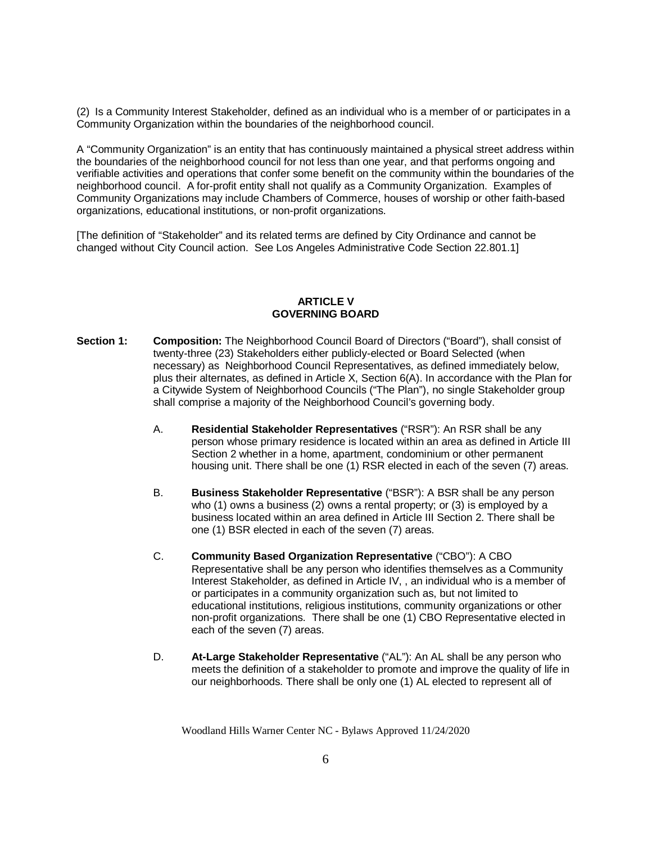(2) Is a Community Interest Stakeholder, defined as an individual who is a member of or participates in a Community Organization within the boundaries of the neighborhood council.

A "Community Organization" is an entity that has continuously maintained a physical street address within the boundaries of the neighborhood council for not less than one year, and that performs ongoing and verifiable activities and operations that confer some benefit on the community within the boundaries of the neighborhood council. A for-profit entity shall not qualify as a Community Organization. Examples of Community Organizations may include Chambers of Commerce, houses of worship or other faith-based organizations, educational institutions, or non-profit organizations.

[The definition of "Stakeholder" and its related terms are defined by City Ordinance and cannot be changed without City Council action. See Los Angeles Administrative Code Section 22.801.1]

## **ARTICLE V GOVERNING BOARD**

- **Section 1: Composition:** The Neighborhood Council Board of Directors ("Board"), shall consist of twenty-three (23) Stakeholders either publicly-elected or Board Selected (when necessary) as Neighborhood Council Representatives, as defined immediately below, plus their alternates, as defined in Article X, Section 6(A). In accordance with the Plan for a Citywide System of Neighborhood Councils ("The Plan"), no single Stakeholder group shall comprise a majority of the Neighborhood Council's governing body.
	- A. **Residential Stakeholder Representatives** ("RSR"): An RSR shall be any person whose primary residence is located within an area as defined in Article III Section 2 whether in a home, apartment, condominium or other permanent housing unit. There shall be one (1) RSR elected in each of the seven (7) areas.
	- B. **Business Stakeholder Representative** ("BSR"): A BSR shall be any person who (1) owns a business (2) owns a rental property; or (3) is employed by a business located within an area defined in Article III Section 2. There shall be one (1) BSR elected in each of the seven (7) areas.
	- C. **Community Based Organization Representative** ("CBO"): A CBO Representative shall be any person who identifies themselves as a Community Interest Stakeholder, as defined in Article IV, , an individual who is a member of or participates in a community organization such as, but not limited to educational institutions, religious institutions, community organizations or other non-profit organizations. There shall be one (1) CBO Representative elected in each of the seven (7) areas.
	- D. **At-Large Stakeholder Representative** ("AL"): An AL shall be any person who meets the definition of a stakeholder to promote and improve the quality of life in our neighborhoods. There shall be only one (1) AL elected to represent all of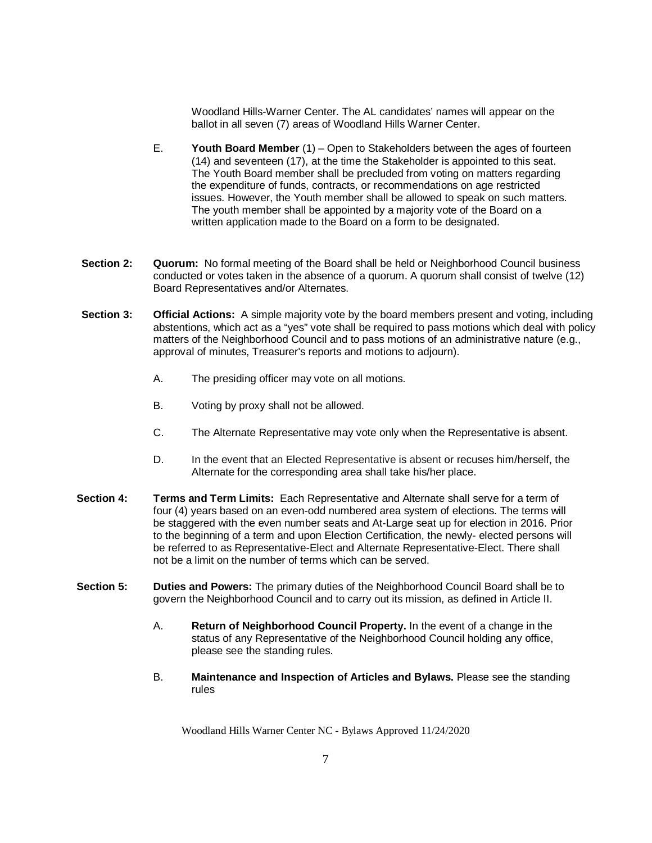Woodland Hills-Warner Center. The AL candidates' names will appear on the ballot in all seven (7) areas of Woodland Hills Warner Center.

- E. **Youth Board Member** (1) Open to Stakeholders between the ages of fourteen (14) and seventeen (17), at the time the Stakeholder is appointed to this seat. The Youth Board member shall be precluded from voting on matters regarding the expenditure of funds, contracts, or recommendations on age restricted issues. However, the Youth member shall be allowed to speak on such matters. The youth member shall be appointed by a majority vote of the Board on a written application made to the Board on a form to be designated.
- **Section 2:** Quorum: No formal meeting of the Board shall be held or Neighborhood Council business conducted or votes taken in the absence of a quorum. A quorum shall consist of twelve (12) Board Representatives and/or Alternates.
- **Section 3: Official Actions:** A simple majority vote by the board members present and voting, including abstentions, which act as a "yes" vote shall be required to pass motions which deal with policy matters of the Neighborhood Council and to pass motions of an administrative nature (e.g., approval of minutes, Treasurer's reports and motions to adjourn).
	- A. The presiding officer may vote on all motions.
	- B. Voting by proxy shall not be allowed.
	- C. The Alternate Representative may vote only when the Representative is absent.
	- D. In the event that an Elected Representative is absent or recuses him/herself, the Alternate for the corresponding area shall take his/her place.
- **Section 4: Terms and Term Limits:** Each Representative and Alternate shall serve for a term of four (4) years based on an even-odd numbered area system of elections. The terms will be staggered with the even number seats and At-Large seat up for election in 2016. Prior to the beginning of a term and upon Election Certification, the newly- elected persons will be referred to as Representative-Elect and Alternate Representative-Elect. There shall not be a limit on the number of terms which can be served.
- **Section 5: Duties and Powers:** The primary duties of the Neighborhood Council Board shall be to govern the Neighborhood Council and to carry out its mission, as defined in Article II.
	- A. **Return of Neighborhood Council Property.** In the event of a change in the status of any Representative of the Neighborhood Council holding any office, please see the standing rules.
	- B. **Maintenance and Inspection of Articles and Bylaws.** Please see the standing rules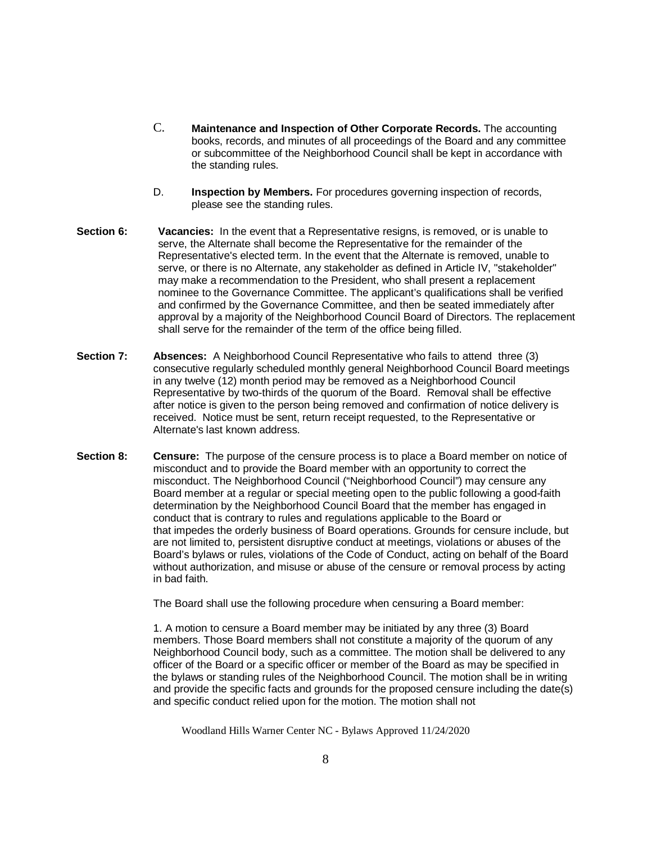- C. **Maintenance and Inspection of Other Corporate Records.** The accounting books, records, and minutes of all proceedings of the Board and any committee or subcommittee of the Neighborhood Council shall be kept in accordance with the standing rules.
- D. **Inspection by Members.** For procedures governing inspection of records, please see the standing rules.
- **Section 6: Vacancies:** In the event that a Representative resigns, is removed, or is unable to serve, the Alternate shall become the Representative for the remainder of the Representative's elected term. In the event that the Alternate is removed, unable to serve, or there is no Alternate, any stakeholder as defined in Article IV, "stakeholder" may make a recommendation to the President, who shall present a replacement nominee to the Governance Committee. The applicant's qualifications shall be verified and confirmed by the Governance Committee, and then be seated immediately after approval by a majority of the Neighborhood Council Board of Directors. The replacement shall serve for the remainder of the term of the office being filled.
- **Section 7: Absences:** A Neighborhood Council Representative who fails to attend three (3) consecutive regularly scheduled monthly general Neighborhood Council Board meetings in any twelve (12) month period may be removed as a Neighborhood Council Representative by two-thirds of the quorum of the Board. Removal shall be effective after notice is given to the person being removed and confirmation of notice delivery is received. Notice must be sent, return receipt requested, to the Representative or Alternate's last known address.
- **Section 8: Censure:** The purpose of the censure process is to place a Board member on notice of misconduct and to provide the Board member with an opportunity to correct the misconduct. The Neighborhood Council ("Neighborhood Council") may censure any Board member at a regular or special meeting open to the public following a good-faith determination by the Neighborhood Council Board that the member has engaged in conduct that is contrary to rules and regulations applicable to the Board or that impedes the orderly business of Board operations. Grounds for censure include, but are not limited to, persistent disruptive conduct at meetings, violations or abuses of the Board's bylaws or rules, violations of the Code of Conduct, acting on behalf of the Board without authorization, and misuse or abuse of the censure or removal process by acting in bad faith.

The Board shall use the following procedure when censuring a Board member:

1. A motion to censure a Board member may be initiated by any three (3) Board members. Those Board members shall not constitute a majority of the quorum of any Neighborhood Council body, such as a committee. The motion shall be delivered to any officer of the Board or a specific officer or member of the Board as may be specified in the bylaws or standing rules of the Neighborhood Council. The motion shall be in writing and provide the specific facts and grounds for the proposed censure including the date(s) and specific conduct relied upon for the motion. The motion shall not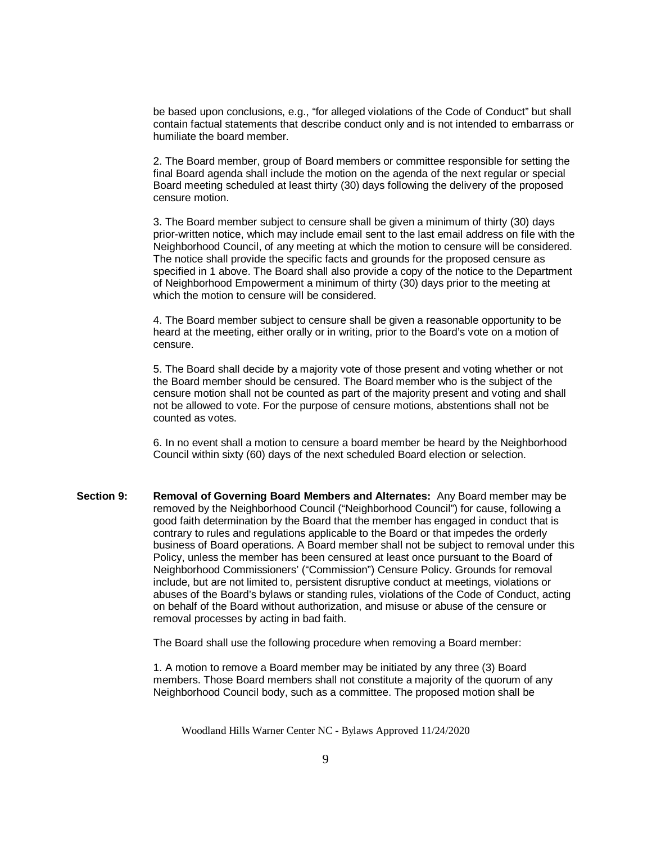be based upon conclusions, e.g., "for alleged violations of the Code of Conduct" but shall contain factual statements that describe conduct only and is not intended to embarrass or humiliate the board member.

2. The Board member, group of Board members or committee responsible for setting the final Board agenda shall include the motion on the agenda of the next regular or special Board meeting scheduled at least thirty (30) days following the delivery of the proposed censure motion.

3. The Board member subject to censure shall be given a minimum of thirty (30) days prior-written notice, which may include email sent to the last email address on file with the Neighborhood Council, of any meeting at which the motion to censure will be considered. The notice shall provide the specific facts and grounds for the proposed censure as specified in 1 above. The Board shall also provide a copy of the notice to the Department of Neighborhood Empowerment a minimum of thirty (30) days prior to the meeting at which the motion to censure will be considered.

4. The Board member subject to censure shall be given a reasonable opportunity to be heard at the meeting, either orally or in writing, prior to the Board's vote on a motion of censure.

5. The Board shall decide by a majority vote of those present and voting whether or not the Board member should be censured. The Board member who is the subject of the censure motion shall not be counted as part of the majority present and voting and shall not be allowed to vote. For the purpose of censure motions, abstentions shall not be counted as votes.

6. In no event shall a motion to censure a board member be heard by the Neighborhood Council within sixty (60) days of the next scheduled Board election or selection.

**Section 9: Removal of Governing Board Members and Alternates:** Any Board member may be removed by the Neighborhood Council ("Neighborhood Council") for cause, following a good faith determination by the Board that the member has engaged in conduct that is contrary to rules and regulations applicable to the Board or that impedes the orderly business of Board operations. A Board member shall not be subject to removal under this Policy, unless the member has been censured at least once pursuant to the Board of Neighborhood Commissioners' ("Commission") Censure Policy. Grounds for removal include, but are not limited to, persistent disruptive conduct at meetings, violations or abuses of the Board's bylaws or standing rules, violations of the Code of Conduct, acting on behalf of the Board without authorization, and misuse or abuse of the censure or removal processes by acting in bad faith.

The Board shall use the following procedure when removing a Board member:

1. A motion to remove a Board member may be initiated by any three (3) Board members. Those Board members shall not constitute a majority of the quorum of any Neighborhood Council body, such as a committee. The proposed motion shall be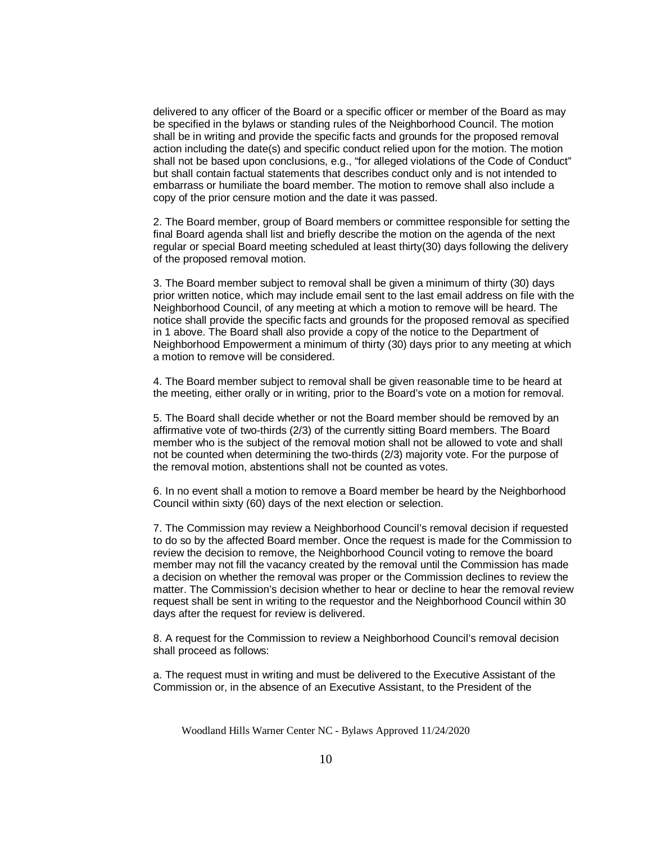delivered to any officer of the Board or a specific officer or member of the Board as may be specified in the bylaws or standing rules of the Neighborhood Council. The motion shall be in writing and provide the specific facts and grounds for the proposed removal action including the date(s) and specific conduct relied upon for the motion. The motion shall not be based upon conclusions, e.g., "for alleged violations of the Code of Conduct" but shall contain factual statements that describes conduct only and is not intended to embarrass or humiliate the board member. The motion to remove shall also include a copy of the prior censure motion and the date it was passed.

2. The Board member, group of Board members or committee responsible for setting the final Board agenda shall list and briefly describe the motion on the agenda of the next regular or special Board meeting scheduled at least thirty(30) days following the delivery of the proposed removal motion.

3. The Board member subject to removal shall be given a minimum of thirty (30) days prior written notice, which may include email sent to the last email address on file with the Neighborhood Council, of any meeting at which a motion to remove will be heard. The notice shall provide the specific facts and grounds for the proposed removal as specified in 1 above. The Board shall also provide a copy of the notice to the Department of Neighborhood Empowerment a minimum of thirty (30) days prior to any meeting at which a motion to remove will be considered.

4. The Board member subject to removal shall be given reasonable time to be heard at the meeting, either orally or in writing, prior to the Board's vote on a motion for removal.

5. The Board shall decide whether or not the Board member should be removed by an affirmative vote of two-thirds (2/3) of the currently sitting Board members. The Board member who is the subject of the removal motion shall not be allowed to vote and shall not be counted when determining the two-thirds (2/3) majority vote. For the purpose of the removal motion, abstentions shall not be counted as votes.

6. In no event shall a motion to remove a Board member be heard by the Neighborhood Council within sixty (60) days of the next election or selection.

7. The Commission may review a Neighborhood Council's removal decision if requested to do so by the affected Board member. Once the request is made for the Commission to review the decision to remove, the Neighborhood Council voting to remove the board member may not fill the vacancy created by the removal until the Commission has made a decision on whether the removal was proper or the Commission declines to review the matter. The Commission's decision whether to hear or decline to hear the removal review request shall be sent in writing to the requestor and the Neighborhood Council within 30 days after the request for review is delivered.

8. A request for the Commission to review a Neighborhood Council's removal decision shall proceed as follows:

a. The request must in writing and must be delivered to the Executive Assistant of the Commission or, in the absence of an Executive Assistant, to the President of the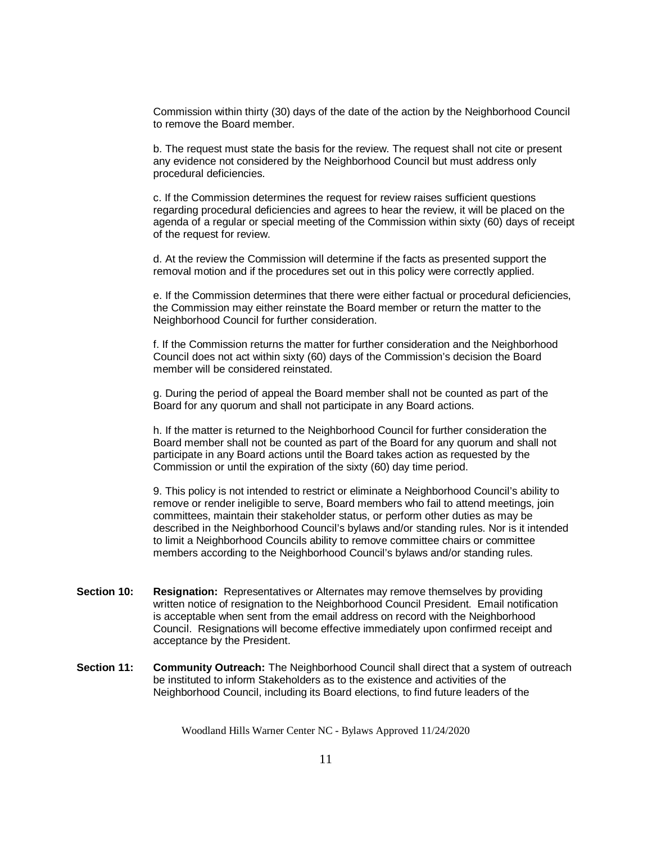Commission within thirty (30) days of the date of the action by the Neighborhood Council to remove the Board member.

b. The request must state the basis for the review. The request shall not cite or present any evidence not considered by the Neighborhood Council but must address only procedural deficiencies.

c. If the Commission determines the request for review raises sufficient questions regarding procedural deficiencies and agrees to hear the review, it will be placed on the agenda of a regular or special meeting of the Commission within sixty (60) days of receipt of the request for review.

d. At the review the Commission will determine if the facts as presented support the removal motion and if the procedures set out in this policy were correctly applied.

e. If the Commission determines that there were either factual or procedural deficiencies, the Commission may either reinstate the Board member or return the matter to the Neighborhood Council for further consideration.

f. If the Commission returns the matter for further consideration and the Neighborhood Council does not act within sixty (60) days of the Commission's decision the Board member will be considered reinstated.

g. During the period of appeal the Board member shall not be counted as part of the Board for any quorum and shall not participate in any Board actions.

h. If the matter is returned to the Neighborhood Council for further consideration the Board member shall not be counted as part of the Board for any quorum and shall not participate in any Board actions until the Board takes action as requested by the Commission or until the expiration of the sixty (60) day time period.

9. This policy is not intended to restrict or eliminate a Neighborhood Council's ability to remove or render ineligible to serve, Board members who fail to attend meetings, join committees, maintain their stakeholder status, or perform other duties as may be described in the Neighborhood Council's bylaws and/or standing rules. Nor is it intended to limit a Neighborhood Councils ability to remove committee chairs or committee members according to the Neighborhood Council's bylaws and/or standing rules.

- **Section 10: Resignation:** Representatives or Alternates may remove themselves by providing written notice of resignation to the Neighborhood Council President. Email notification is acceptable when sent from the email address on record with the Neighborhood Council. Resignations will become effective immediately upon confirmed receipt and acceptance by the President.
- **Section 11: Community Outreach:** The Neighborhood Council shall direct that a system of outreach be instituted to inform Stakeholders as to the existence and activities of the Neighborhood Council, including its Board elections, to find future leaders of the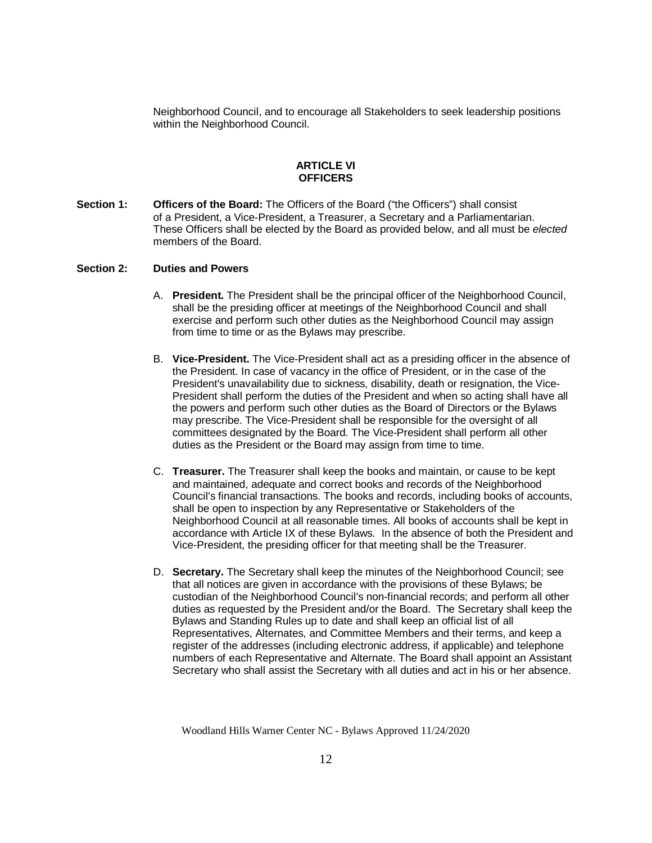Neighborhood Council, and to encourage all Stakeholders to seek leadership positions within the Neighborhood Council.

# **ARTICLE VI OFFICERS**

**Section 1: Officers of the Board:** The Officers of the Board ("the Officers") shall consist of a President, a Vice-President, a Treasurer, a Secretary and a Parliamentarian. These Officers shall be elected by the Board as provided below, and all must be *elected* members of the Board.

#### **Section 2: Duties and Powers**

- A. **President.** The President shall be the principal officer of the Neighborhood Council, shall be the presiding officer at meetings of the Neighborhood Council and shall exercise and perform such other duties as the Neighborhood Council may assign from time to time or as the Bylaws may prescribe.
- B. **Vice-President.** The Vice-President shall act as a presiding officer in the absence of the President. In case of vacancy in the office of President, or in the case of the President's unavailability due to sickness, disability, death or resignation, the Vice-President shall perform the duties of the President and when so acting shall have all the powers and perform such other duties as the Board of Directors or the Bylaws may prescribe. The Vice-President shall be responsible for the oversight of all committees designated by the Board. The Vice-President shall perform all other duties as the President or the Board may assign from time to time.
- C. **Treasurer.** The Treasurer shall keep the books and maintain, or cause to be kept and maintained, adequate and correct books and records of the Neighborhood Council's financial transactions. The books and records, including books of accounts, shall be open to inspection by any Representative or Stakeholders of the Neighborhood Council at all reasonable times. All books of accounts shall be kept in accordance with Article IX of these Bylaws. In the absence of both the President and Vice-President, the presiding officer for that meeting shall be the Treasurer.
- D. **Secretary.** The Secretary shall keep the minutes of the Neighborhood Council; see that all notices are given in accordance with the provisions of these Bylaws; be custodian of the Neighborhood Council's non-financial records; and perform all other duties as requested by the President and/or the Board. The Secretary shall keep the Bylaws and Standing Rules up to date and shall keep an official list of all Representatives, Alternates, and Committee Members and their terms, and keep a register of the addresses (including electronic address, if applicable) and telephone numbers of each Representative and Alternate. The Board shall appoint an Assistant Secretary who shall assist the Secretary with all duties and act in his or her absence.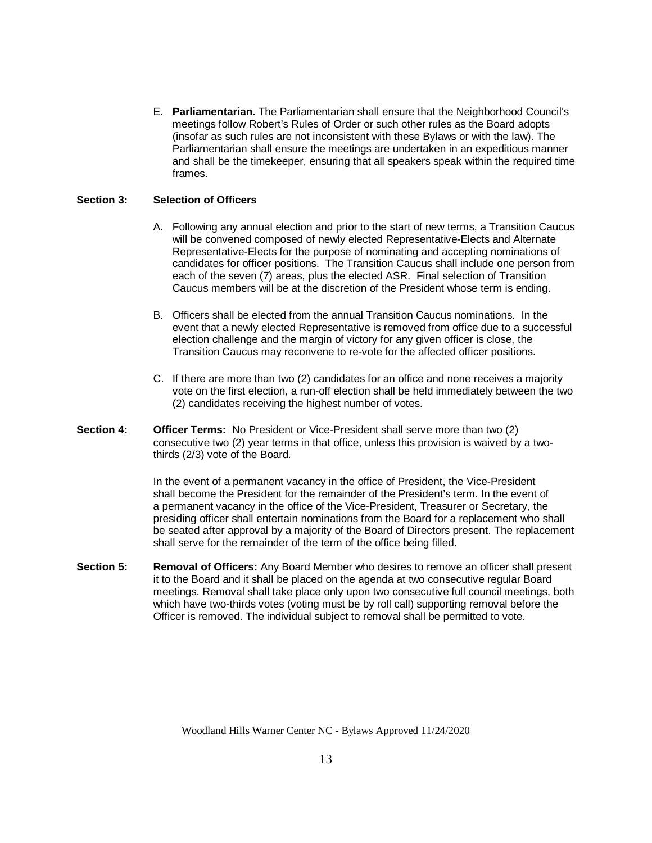E. **Parliamentarian.** The Parliamentarian shall ensure that the Neighborhood Council's meetings follow Robert's Rules of Order or such other rules as the Board adopts (insofar as such rules are not inconsistent with these Bylaws or with the law). The Parliamentarian shall ensure the meetings are undertaken in an expeditious manner and shall be the timekeeper, ensuring that all speakers speak within the required time frames.

## **Section 3: Selection of Officers**

- A. Following any annual election and prior to the start of new terms, a Transition Caucus will be convened composed of newly elected Representative-Elects and Alternate Representative-Elects for the purpose of nominating and accepting nominations of candidates for officer positions. The Transition Caucus shall include one person from each of the seven (7) areas, plus the elected ASR. Final selection of Transition Caucus members will be at the discretion of the President whose term is ending.
- B. Officers shall be elected from the annual Transition Caucus nominations. In the event that a newly elected Representative is removed from office due to a successful election challenge and the margin of victory for any given officer is close, the Transition Caucus may reconvene to re-vote for the affected officer positions.
- C. If there are more than two (2) candidates for an office and none receives a majority vote on the first election, a run-off election shall be held immediately between the two (2) candidates receiving the highest number of votes.
- **Section 4: Officer Terms:** No President or Vice-President shall serve more than two (2) consecutive two (2) year terms in that office, unless this provision is waived by a twothirds (2/3) vote of the Board*.*

In the event of a permanent vacancy in the office of President, the Vice-President shall become the President for the remainder of the President's term. In the event of a permanent vacancy in the office of the Vice-President, Treasurer or Secretary, the presiding officer shall entertain nominations from the Board for a replacement who shall be seated after approval by a majority of the Board of Directors present. The replacement shall serve for the remainder of the term of the office being filled.

**Section 5: Removal of Officers:** Any Board Member who desires to remove an officer shall present it to the Board and it shall be placed on the agenda at two consecutive regular Board meetings. Removal shall take place only upon two consecutive full council meetings, both which have two-thirds votes (voting must be by roll call) supporting removal before the Officer is removed. The individual subject to removal shall be permitted to vote.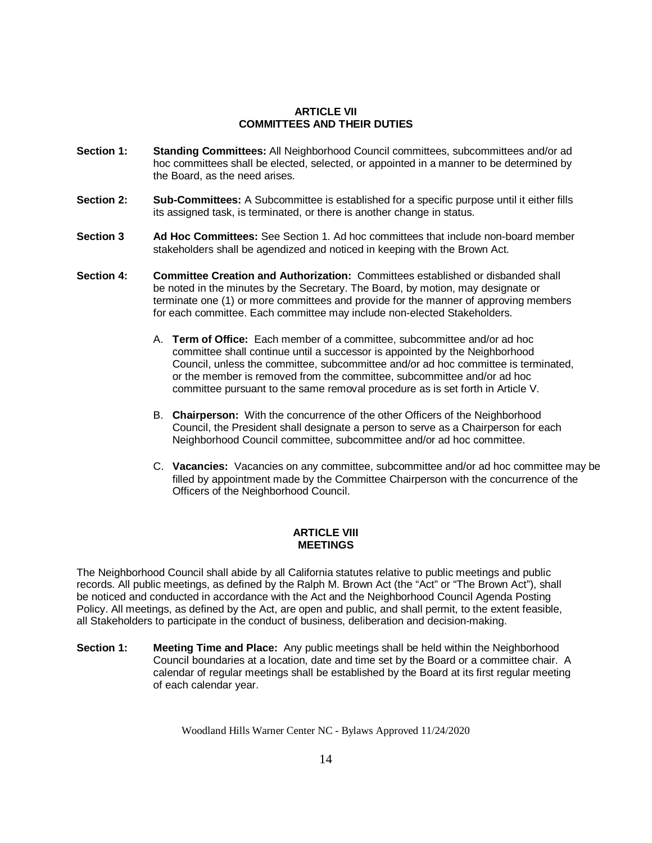## **ARTICLE VII COMMITTEES AND THEIR DUTIES**

- **Section 1: Standing Committees:** All Neighborhood Council committees, subcommittees and/or ad hoc committees shall be elected, selected, or appointed in a manner to be determined by the Board, as the need arises.
- **Section 2: Sub-Committees:** A Subcommittee is established for a specific purpose until it either fills its assigned task, is terminated, or there is another change in status.
- **Section 3 Ad Hoc Committees:** See Section 1. Ad hoc committees that include non-board member stakeholders shall be agendized and noticed in keeping with the Brown Act.
- **Section 4: Committee Creation and Authorization:** Committees established or disbanded shall be noted in the minutes by the Secretary. The Board, by motion, may designate or terminate one (1) or more committees and provide for the manner of approving members for each committee. Each committee may include non-elected Stakeholders.
	- A. **Term of Office:** Each member of a committee, subcommittee and/or ad hoc committee shall continue until a successor is appointed by the Neighborhood Council, unless the committee, subcommittee and/or ad hoc committee is terminated, or the member is removed from the committee, subcommittee and/or ad hoc committee pursuant to the same removal procedure as is set forth in Article V.
	- B. **Chairperson:** With the concurrence of the other Officers of the Neighborhood Council, the President shall designate a person to serve as a Chairperson for each Neighborhood Council committee, subcommittee and/or ad hoc committee.
	- C. **Vacancies:** Vacancies on any committee, subcommittee and/or ad hoc committee may be filled by appointment made by the Committee Chairperson with the concurrence of the Officers of the Neighborhood Council.

# **ARTICLE VIII MEETINGS**

The Neighborhood Council shall abide by all California statutes relative to public meetings and public records. All public meetings, as defined by the Ralph M. Brown Act (the "Act" or "The Brown Act"), shall be noticed and conducted in accordance with the Act and the Neighborhood Council Agenda Posting Policy. All meetings, as defined by the Act, are open and public, and shall permit, to the extent feasible, all Stakeholders to participate in the conduct of business, deliberation and decision-making.

**Section 1: Meeting Time and Place:** Any public meetings shall be held within the Neighborhood Council boundaries at a location, date and time set by the Board or a committee chair. A calendar of regular meetings shall be established by the Board at its first regular meeting of each calendar year.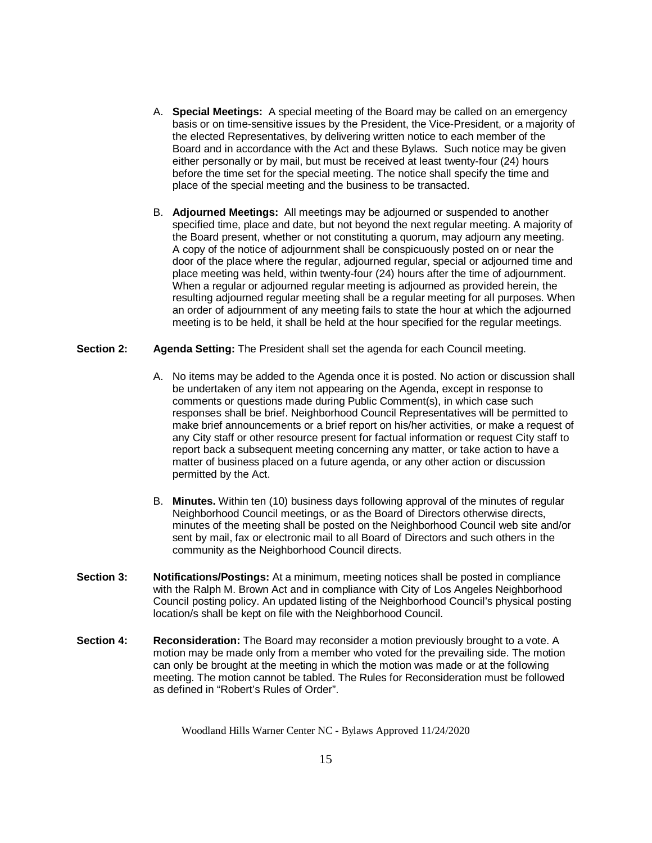- A. **Special Meetings:** A special meeting of the Board may be called on an emergency basis or on time-sensitive issues by the President, the Vice-President, or a majority of the elected Representatives, by delivering written notice to each member of the Board and in accordance with the Act and these Bylaws. Such notice may be given either personally or by mail, but must be received at least twenty-four (24) hours before the time set for the special meeting. The notice shall specify the time and place of the special meeting and the business to be transacted.
- B. **Adjourned Meetings:** All meetings may be adjourned or suspended to another specified time, place and date, but not beyond the next regular meeting. A majority of the Board present, whether or not constituting a quorum, may adjourn any meeting. A copy of the notice of adjournment shall be conspicuously posted on or near the door of the place where the regular, adjourned regular, special or adjourned time and place meeting was held, within twenty-four (24) hours after the time of adjournment. When a regular or adjourned regular meeting is adjourned as provided herein, the resulting adjourned regular meeting shall be a regular meeting for all purposes. When an order of adjournment of any meeting fails to state the hour at which the adjourned meeting is to be held, it shall be held at the hour specified for the regular meetings.

#### **Section 2: Agenda Setting:** The President shall set the agenda for each Council meeting.

- A. No items may be added to the Agenda once it is posted. No action or discussion shall be undertaken of any item not appearing on the Agenda, except in response to comments or questions made during Public Comment(s), in which case such responses shall be brief. Neighborhood Council Representatives will be permitted to make brief announcements or a brief report on his/her activities, or make a request of any City staff or other resource present for factual information or request City staff to report back a subsequent meeting concerning any matter, or take action to have a matter of business placed on a future agenda, or any other action or discussion permitted by the Act.
- B. **Minutes.** Within ten (10) business days following approval of the minutes of regular Neighborhood Council meetings, or as the Board of Directors otherwise directs, minutes of the meeting shall be posted on the Neighborhood Council web site and/or sent by mail, fax or electronic mail to all Board of Directors and such others in the community as the Neighborhood Council directs.
- **Section 3: Notifications/Postings:** At a minimum, meeting notices shall be posted in compliance with the Ralph M. Brown Act and in compliance with City of Los Angeles Neighborhood Council posting policy. An updated listing of the Neighborhood Council's physical posting location/s shall be kept on file with the Neighborhood Council.
- **Section 4:** Reconsideration: The Board may reconsider a motion previously brought to a vote. A motion may be made only from a member who voted for the prevailing side. The motion can only be brought at the meeting in which the motion was made or at the following meeting. The motion cannot be tabled. The Rules for Reconsideration must be followed as defined in "Robert's Rules of Order".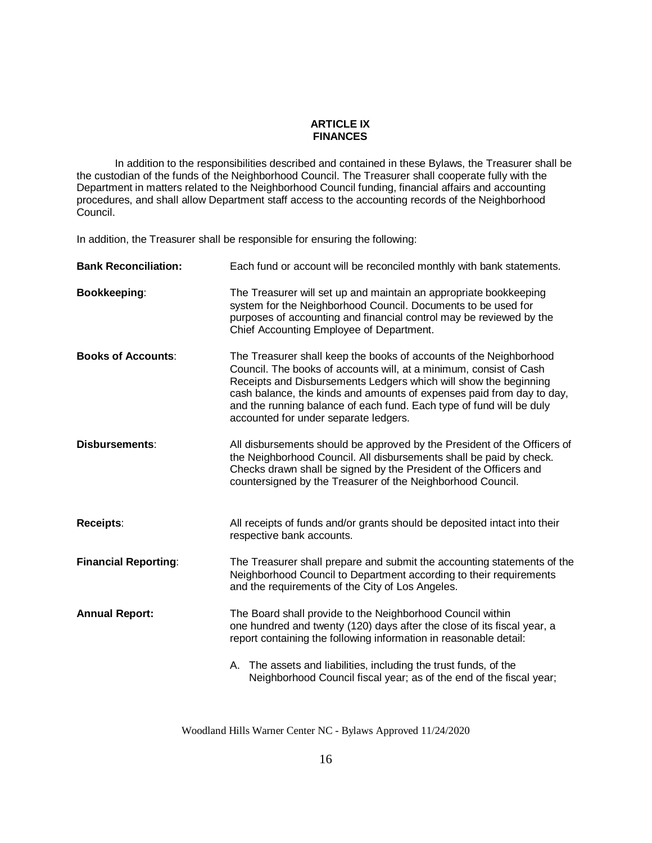## **ARTICLE IX FINANCES**

In addition to the responsibilities described and contained in these Bylaws, the Treasurer shall be the custodian of the funds of the Neighborhood Council. The Treasurer shall cooperate fully with the Department in matters related to the Neighborhood Council funding, financial affairs and accounting procedures, and shall allow Department staff access to the accounting records of the Neighborhood Council.

In addition, the Treasurer shall be responsible for ensuring the following:

| <b>Bank Reconciliation:</b> | Each fund or account will be reconciled monthly with bank statements.                                                                                                                                                                                                                                                                                                                                  |  |  |  |  |
|-----------------------------|--------------------------------------------------------------------------------------------------------------------------------------------------------------------------------------------------------------------------------------------------------------------------------------------------------------------------------------------------------------------------------------------------------|--|--|--|--|
| <b>Bookkeeping:</b>         | The Treasurer will set up and maintain an appropriate bookkeeping<br>system for the Neighborhood Council. Documents to be used for<br>purposes of accounting and financial control may be reviewed by the<br>Chief Accounting Employee of Department.                                                                                                                                                  |  |  |  |  |
| <b>Books of Accounts:</b>   | The Treasurer shall keep the books of accounts of the Neighborhood<br>Council. The books of accounts will, at a minimum, consist of Cash<br>Receipts and Disbursements Ledgers which will show the beginning<br>cash balance, the kinds and amounts of expenses paid from day to day,<br>and the running balance of each fund. Each type of fund will be duly<br>accounted for under separate ledgers. |  |  |  |  |
| Disbursements:              | All disbursements should be approved by the President of the Officers of<br>the Neighborhood Council. All disbursements shall be paid by check.<br>Checks drawn shall be signed by the President of the Officers and<br>countersigned by the Treasurer of the Neighborhood Council.                                                                                                                    |  |  |  |  |
| <b>Receipts:</b>            | All receipts of funds and/or grants should be deposited intact into their<br>respective bank accounts.                                                                                                                                                                                                                                                                                                 |  |  |  |  |
| <b>Financial Reporting:</b> | The Treasurer shall prepare and submit the accounting statements of the<br>Neighborhood Council to Department according to their requirements<br>and the requirements of the City of Los Angeles.                                                                                                                                                                                                      |  |  |  |  |
| <b>Annual Report:</b>       | The Board shall provide to the Neighborhood Council within<br>one hundred and twenty (120) days after the close of its fiscal year, a<br>report containing the following information in reasonable detail:                                                                                                                                                                                             |  |  |  |  |
|                             | A. The assets and liabilities, including the trust funds, of the<br>Neighborhood Council fiscal year; as of the end of the fiscal year;                                                                                                                                                                                                                                                                |  |  |  |  |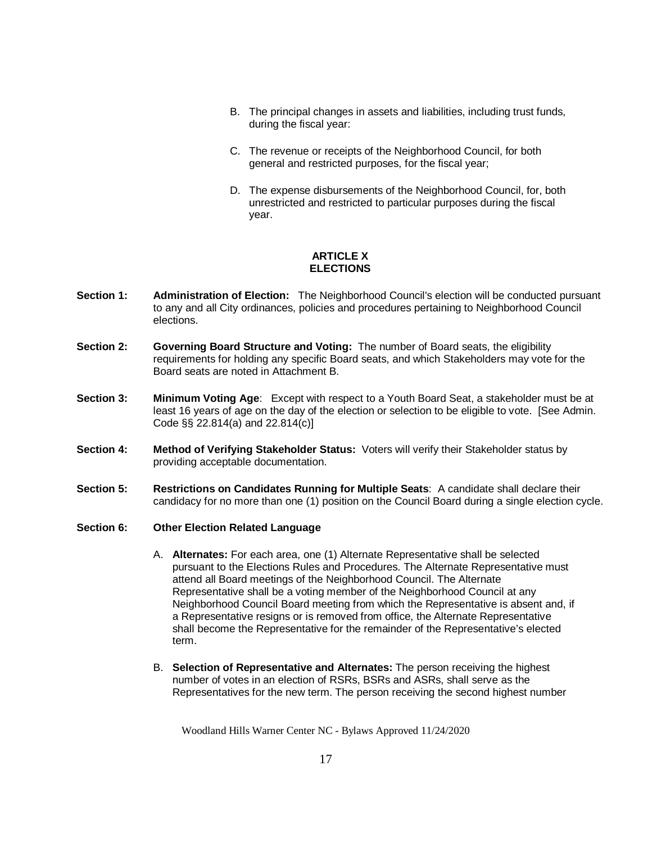- B. The principal changes in assets and liabilities, including trust funds, during the fiscal year:
- C. The revenue or receipts of the Neighborhood Council, for both general and restricted purposes, for the fiscal year;
- D. The expense disbursements of the Neighborhood Council, for, both unrestricted and restricted to particular purposes during the fiscal year.

## **ARTICLE X ELECTIONS**

- **Section 1: Administration of Election:** The Neighborhood Council's election will be conducted pursuant to any and all City ordinances, policies and procedures pertaining to Neighborhood Council elections.
- **Section 2: Governing Board Structure and Voting:** The number of Board seats, the eligibility requirements for holding any specific Board seats, and which Stakeholders may vote for the Board seats are noted in Attachment B.
- **Section 3: Minimum Voting Age**: Except with respect to a Youth Board Seat, a stakeholder must be at least 16 years of age on the day of the election or selection to be eligible to vote. [See Admin. Code §§ 22.814(a) and 22.814(c)]
- **Section 4: Method of Verifying Stakeholder Status:** Voters will verify their Stakeholder status by providing acceptable documentation.
- **Section 5: Restrictions on Candidates Running for Multiple Seats**: A candidate shall declare their candidacy for no more than one (1) position on the Council Board during a single election cycle.
- **Section 6: Other Election Related Language**
	- A. **Alternates:** For each area, one (1) Alternate Representative shall be selected pursuant to the Elections Rules and Procedures. The Alternate Representative must attend all Board meetings of the Neighborhood Council. The Alternate Representative shall be a voting member of the Neighborhood Council at any Neighborhood Council Board meeting from which the Representative is absent and, if a Representative resigns or is removed from office, the Alternate Representative shall become the Representative for the remainder of the Representative's elected term.
	- B. **Selection of Representative and Alternates:** The person receiving the highest number of votes in an election of RSRs, BSRs and ASRs, shall serve as the Representatives for the new term. The person receiving the second highest number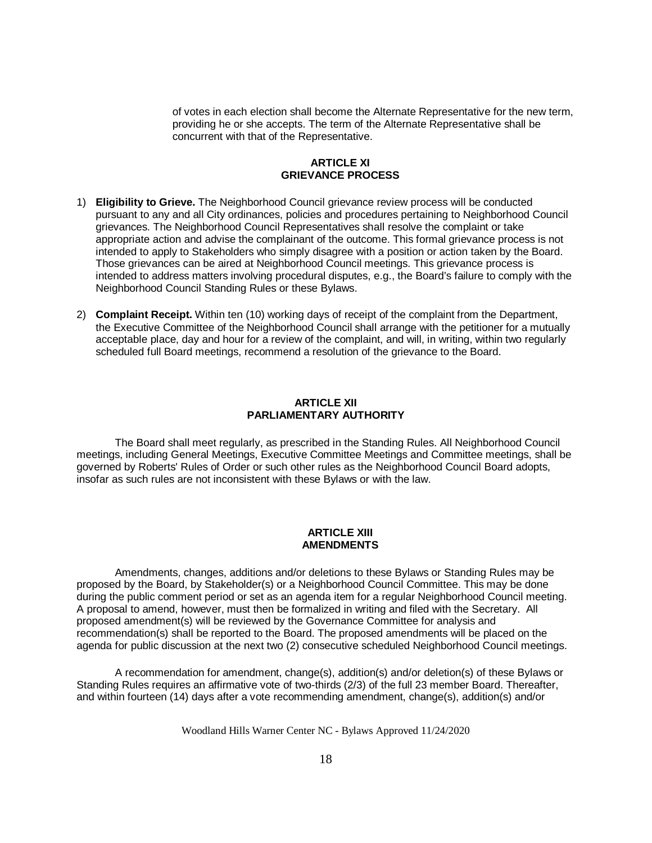of votes in each election shall become the Alternate Representative for the new term, providing he or she accepts. The term of the Alternate Representative shall be concurrent with that of the Representative.

### **ARTICLE XI GRIEVANCE PROCESS**

- 1) **Eligibility to Grieve.** The Neighborhood Council grievance review process will be conducted pursuant to any and all City ordinances, policies and procedures pertaining to Neighborhood Council grievances. The Neighborhood Council Representatives shall resolve the complaint or take appropriate action and advise the complainant of the outcome. This formal grievance process is not intended to apply to Stakeholders who simply disagree with a position or action taken by the Board. Those grievances can be aired at Neighborhood Council meetings. This grievance process is intended to address matters involving procedural disputes, e.g., the Board's failure to comply with the Neighborhood Council Standing Rules or these Bylaws.
- 2) **Complaint Receipt.** Within ten (10) working days of receipt of the complaint from the Department, the Executive Committee of the Neighborhood Council shall arrange with the petitioner for a mutually acceptable place, day and hour for a review of the complaint, and will, in writing, within two regularly scheduled full Board meetings, recommend a resolution of the grievance to the Board.

# **ARTICLE XII PARLIAMENTARY AUTHORITY**

The Board shall meet regularly, as prescribed in the Standing Rules. All Neighborhood Council meetings, including General Meetings, Executive Committee Meetings and Committee meetings, shall be governed by Roberts' Rules of Order or such other rules as the Neighborhood Council Board adopts, insofar as such rules are not inconsistent with these Bylaws or with the law.

## **ARTICLE XIII AMENDMENTS**

Amendments, changes, additions and/or deletions to these Bylaws or Standing Rules may be proposed by the Board, by Stakeholder(s) or a Neighborhood Council Committee. This may be done during the public comment period or set as an agenda item for a regular Neighborhood Council meeting. A proposal to amend, however, must then be formalized in writing and filed with the Secretary. All proposed amendment(s) will be reviewed by the Governance Committee for analysis and recommendation(s) shall be reported to the Board. The proposed amendments will be placed on the agenda for public discussion at the next two (2) consecutive scheduled Neighborhood Council meetings.

A recommendation for amendment, change(s), addition(s) and/or deletion(s) of these Bylaws or Standing Rules requires an affirmative vote of two-thirds (2/3) of the full 23 member Board. Thereafter, and within fourteen (14) days after a vote recommending amendment, change(s), addition(s) and/or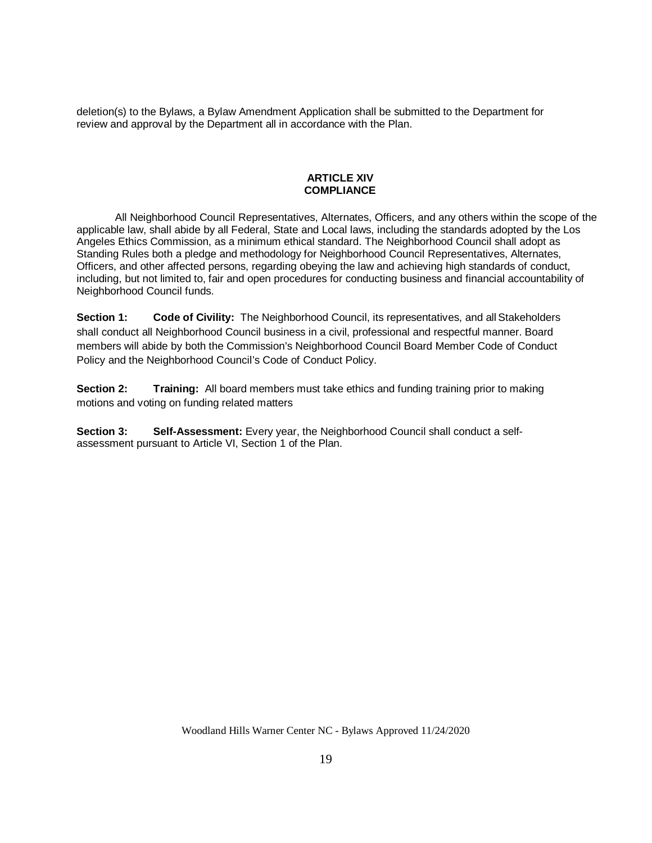deletion(s) to the Bylaws, a Bylaw Amendment Application shall be submitted to the Department for review and approval by the Department all in accordance with the Plan.

#### **ARTICLE XIV COMPLIANCE**

All Neighborhood Council Representatives, Alternates, Officers, and any others within the scope of the applicable law, shall abide by all Federal, State and Local laws, including the standards adopted by the Los Angeles Ethics Commission, as a minimum ethical standard. The Neighborhood Council shall adopt as Standing Rules both a pledge and methodology for Neighborhood Council Representatives, Alternates, Officers, and other affected persons, regarding obeying the law and achieving high standards of conduct, including, but not limited to, fair and open procedures for conducting business and financial accountability of Neighborhood Council funds.

**Section 1: Code of Civility:** The Neighborhood Council, its representatives, and all Stakeholders shall conduct all Neighborhood Council business in a civil, professional and respectful manner. Board members will abide by both the Commission's Neighborhood Council Board Member Code of Conduct Policy and the Neighborhood Council's Code of Conduct Policy.

**Section 2: Training:** All board members must take ethics and funding training prior to making motions and voting on funding related matters

**Section 3: Self-Assessment:** Every year, the Neighborhood Council shall conduct a selfassessment pursuant to Article VI, Section 1 of the Plan.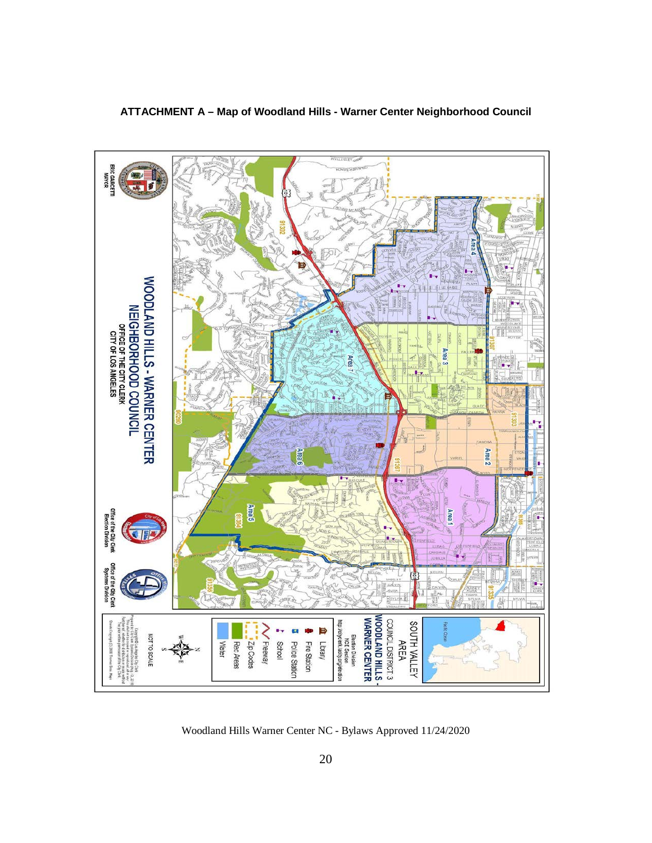

# **ATTACHMENT A – Map of Woodland Hills - Warner Center Neighborhood Council**

Woodland Hills Warner Center NC - Bylaws Approved 11/24/2020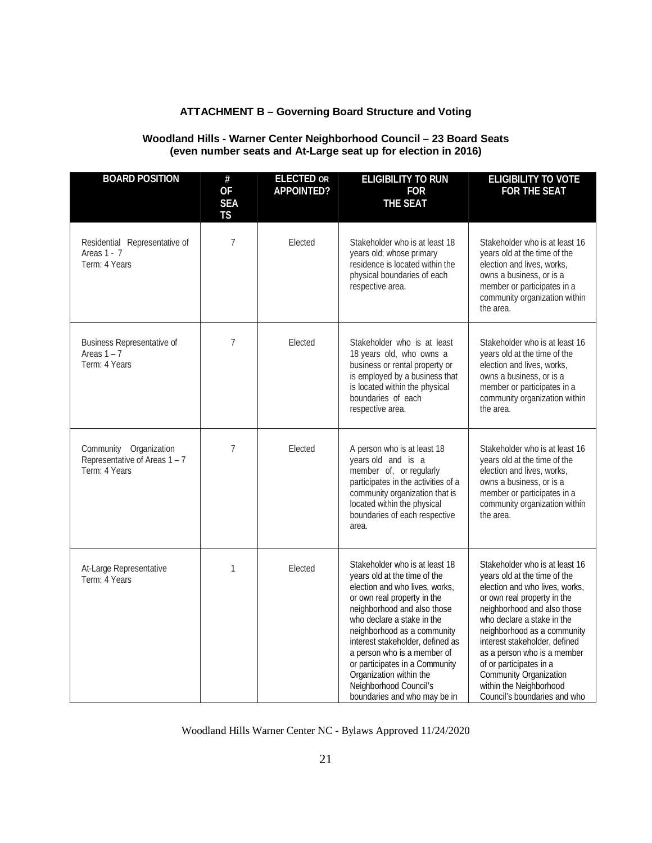# **ATTACHMENT B – Governing Board Structure and Voting**

# **Woodland Hills - Warner Center Neighborhood Council – 23 Board Seats (even number seats and At-Large seat up for election in 2016)**

| <b>BOARD POSITION</b>                                                    | $\#$<br><b>OF</b><br><b>SEA</b><br><b>TS</b> | <b>ELECTED OR</b><br><b>APPOINTED?</b> | <b>ELIGIBILITY TO RUN</b><br><b>FOR</b><br><b>THE SEAT</b>                                                                                                                                                                                                                                                                                                                                                            | <b>ELIGIBILITY TO VOTE</b><br><b>FOR THE SEAT</b>                                                                                                                                                                                                                                                                                                                                                           |
|--------------------------------------------------------------------------|----------------------------------------------|----------------------------------------|-----------------------------------------------------------------------------------------------------------------------------------------------------------------------------------------------------------------------------------------------------------------------------------------------------------------------------------------------------------------------------------------------------------------------|-------------------------------------------------------------------------------------------------------------------------------------------------------------------------------------------------------------------------------------------------------------------------------------------------------------------------------------------------------------------------------------------------------------|
| Residential Representative of<br>Areas 1 - 7<br>Term: 4 Years            | 7                                            | Elected                                | Stakeholder who is at least 18<br>years old; whose primary<br>residence is located within the<br>physical boundaries of each<br>respective area.                                                                                                                                                                                                                                                                      | Stakeholder who is at least 16<br>years old at the time of the<br>election and lives, works,<br>owns a business, or is a<br>member or participates in a<br>community organization within<br>the area.                                                                                                                                                                                                       |
| Business Representative of<br>Areas $1 - 7$<br>Term: 4 Years             | 7                                            | Elected                                | Stakeholder who is at least<br>18 years old, who owns a<br>business or rental property or<br>is employed by a business that<br>is located within the physical<br>boundaries of each<br>respective area.                                                                                                                                                                                                               | Stakeholder who is at least 16<br>years old at the time of the<br>election and lives, works,<br>owns a business, or is a<br>member or participates in a<br>community organization within<br>the area.                                                                                                                                                                                                       |
| Community Organization<br>Representative of Areas 1 - 7<br>Term: 4 Years | 7                                            | Elected                                | A person who is at least 18<br>years old and is a<br>member of, or regularly<br>participates in the activities of a<br>community organization that is<br>located within the physical<br>boundaries of each respective<br>area.                                                                                                                                                                                        | Stakeholder who is at least 16<br>years old at the time of the<br>election and lives, works,<br>owns a business, or is a<br>member or participates in a<br>community organization within<br>the area.                                                                                                                                                                                                       |
| At-Large Representative<br>Term: 4 Years                                 | 1                                            | Elected                                | Stakeholder who is at least 18<br>years old at the time of the<br>election and who lives, works,<br>or own real property in the<br>neighborhood and also those<br>who declare a stake in the<br>neighborhood as a community<br>interest stakeholder, defined as<br>a person who is a member of<br>or participates in a Community<br>Organization within the<br>Neighborhood Council's<br>boundaries and who may be in | Stakeholder who is at least 16<br>years old at the time of the<br>election and who lives, works,<br>or own real property in the<br>neighborhood and also those<br>who declare a stake in the<br>neighborhood as a community<br>interest stakeholder, defined<br>as a person who is a member<br>of or participates in a<br>Community Organization<br>within the Neighborhood<br>Council's boundaries and who |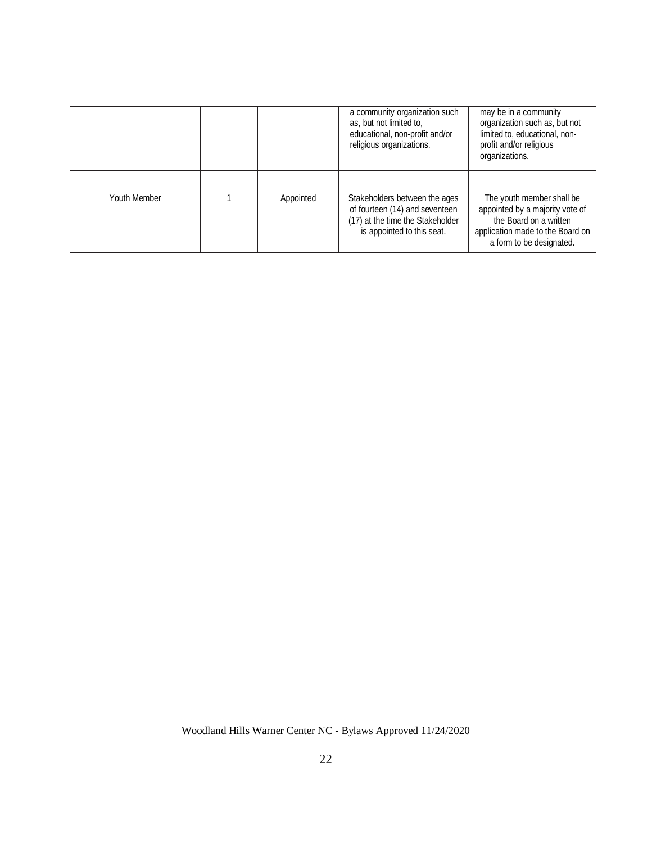|              |           | a community organization such<br>as, but not limited to,<br>educational, non-profit and/or<br>religious organizations.            | may be in a community<br>organization such as, but not<br>limited to, educational, non-<br>profit and/or religious<br>organizations.                   |
|--------------|-----------|-----------------------------------------------------------------------------------------------------------------------------------|--------------------------------------------------------------------------------------------------------------------------------------------------------|
| Youth Member | Appointed | Stakeholders between the ages<br>of fourteen (14) and seventeen<br>(17) at the time the Stakeholder<br>is appointed to this seat. | The youth member shall be<br>appointed by a majority vote of<br>the Board on a written<br>application made to the Board on<br>a form to be designated. |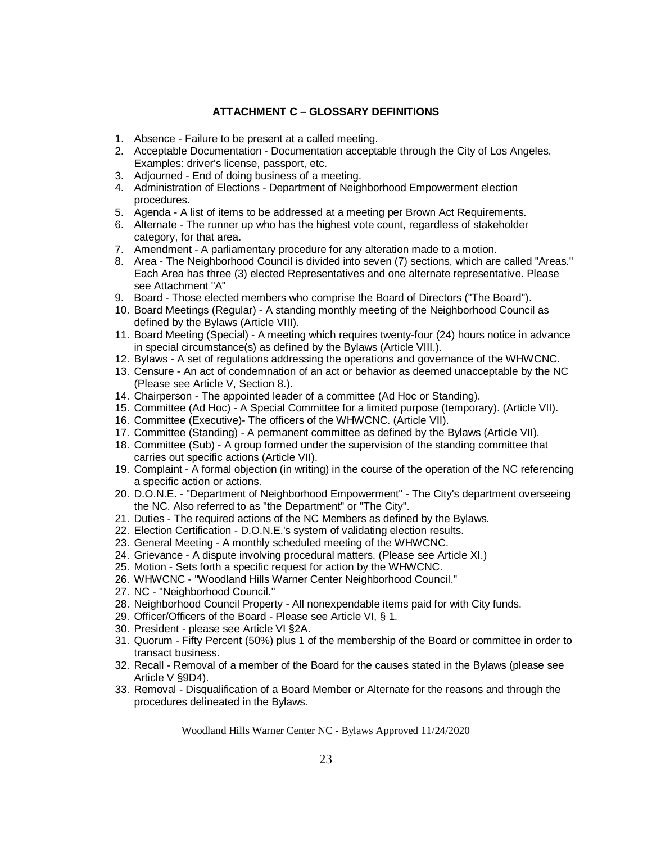# **ATTACHMENT C – GLOSSARY DEFINITIONS**

- 1. Absence Failure to be present at a called meeting.
- 2. Acceptable Documentation Documentation acceptable through the City of Los Angeles. Examples: driver's license, passport, etc.
- 3. Adjourned End of doing business of a meeting.
- 4. Administration of Elections Department of Neighborhood Empowerment election procedures.
- 5. Agenda A list of items to be addressed at a meeting per Brown Act Requirements.
- 6. Alternate The runner up who has the highest vote count, regardless of stakeholder category, for that area.
- 7. Amendment A parliamentary procedure for any alteration made to a motion.
- 8. Area The Neighborhood Council is divided into seven (7) sections, which are called "Areas." Each Area has three (3) elected Representatives and one alternate representative. Please see Attachment "A"
- 9. Board Those elected members who comprise the Board of Directors ("The Board").
- 10. Board Meetings (Regular) A standing monthly meeting of the Neighborhood Council as defined by the Bylaws (Article VIII).
- 11. Board Meeting (Special) A meeting which requires twenty-four (24) hours notice in advance in special circumstance(s) as defined by the Bylaws (Article VIII.).
- 12. Bylaws A set of regulations addressing the operations and governance of the WHWCNC.
- 13. Censure An act of condemnation of an act or behavior as deemed unacceptable by the NC (Please see Article V, Section 8.).
- 14. Chairperson The appointed leader of a committee (Ad Hoc or Standing).
- 15. Committee (Ad Hoc) A Special Committee for a limited purpose (temporary). (Article VII).
- 16. Committee (Executive)- The officers of the WHWCNC. (Article VII).
- 17. Committee (Standing) A permanent committee as defined by the Bylaws (Article VII).
- 18. Committee (Sub) A group formed under the supervision of the standing committee that carries out specific actions (Article VII).
- 19. Complaint A formal objection (in writing) in the course of the operation of the NC referencing a specific action or actions.
- 20. D.O.N.E. "Department of Neighborhood Empowerment" The City's department overseeing the NC. Also referred to as "the Department" or "The City".
- 21. Duties The required actions of the NC Members as defined by the Bylaws.
- 22. Election Certification D.O.N.E.'s system of validating election results.
- 23. General Meeting A monthly scheduled meeting of the WHWCNC.
- 24. Grievance A dispute involving procedural matters. (Please see Article XI.)
- 25. Motion Sets forth a specific request for action by the WHWCNC.
- 26. WHWCNC "Woodland Hills Warner Center Neighborhood Council."
- 27. NC "Neighborhood Council."
- 28. Neighborhood Council Property All nonexpendable items paid for with City funds.
- 29. Officer/Officers of the Board Please see Article VI, § 1.
- 30. President please see Article VI §2A.
- 31. Quorum Fifty Percent (50%) plus 1 of the membership of the Board or committee in order to transact business.
- 32. Recall Removal of a member of the Board for the causes stated in the Bylaws (please see Article V §9D4).
- 33. Removal Disqualification of a Board Member or Alternate for the reasons and through the procedures delineated in the Bylaws.